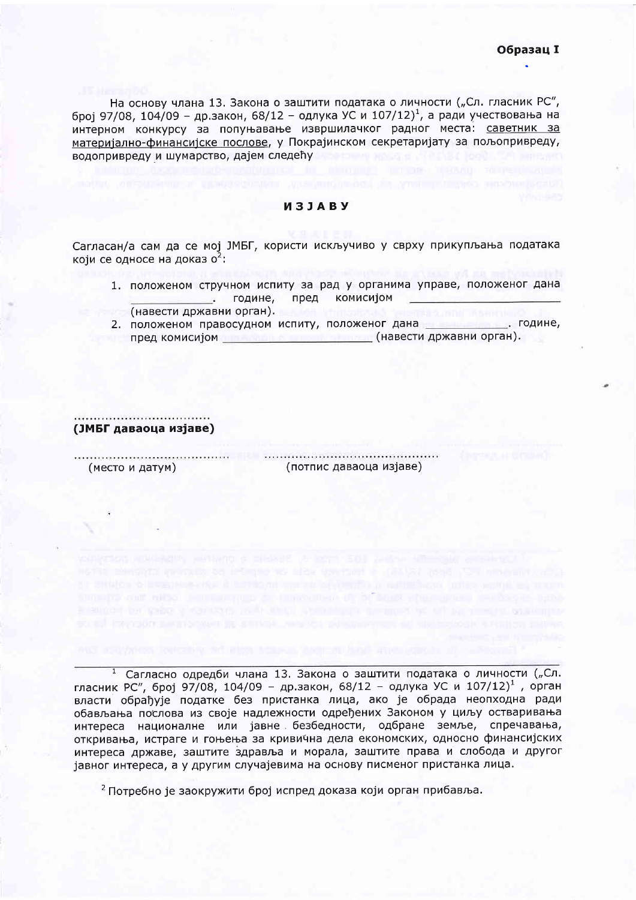На основу члана 13. Закона о заштити података о личности ("Сл. гласник РС", број 97/08, 104/09 - др.закон, 68/12 - одлука УС и 107/12)<sup>1</sup>, а ради учествовања на интерном конкурсу за попуњавање извршилачког радног места: саветник за материјално-финансијске послове, у Покрајинском секретаријату за пољопривреду, водопривреду и шумарство, дајем следећу

## *M3JABY*

Сагласан/а сам да се мој ЈМБГ, користи искључиво у сврху прикупљања података који се односе на доказ о<sup>2</sup>:

- 1. положеном стручном испиту за рад у органима управе, положеног дана дине, пред комисијом
- **Полития** (навести државни орган).
- 2. положеном правосудном испиту, положеног дана при подине, пред комисијом <u>и предакти стана и пред комисијом са својата стана (навести државни орган</u>).

(ЈМБГ даваоца изјаве)

(место и датум)

(потпис даваоца изјаве)

<sup>1</sup> Сагласно одредби члана 13. Закона о заштити података о личности ("Сл. гласник РС", број 97/08, 104/09 - др.закон, 68/12 - одлука УС и 107/12)<sup>1</sup>, орган власти обрађује податке без пристанка лица, ако је обрада неопходна ради обављања послова из своје надлежности одређених Законом у циљу остваривања интереса националне или јавне безбедности, одбране земље, спречавања, откривања, истраге и гоњења за кривична дела економских, односно финансијских интереса државе, заштите здравља и морала, заштите права и слобода и другог іавног интереса, а у другим случајевима на основу писменог пристанка лица.

homography control and compensation of a competence of a book of programs sendance again

<sup>2</sup> Потребно је заокружити број испред доказа који орган прибавља.